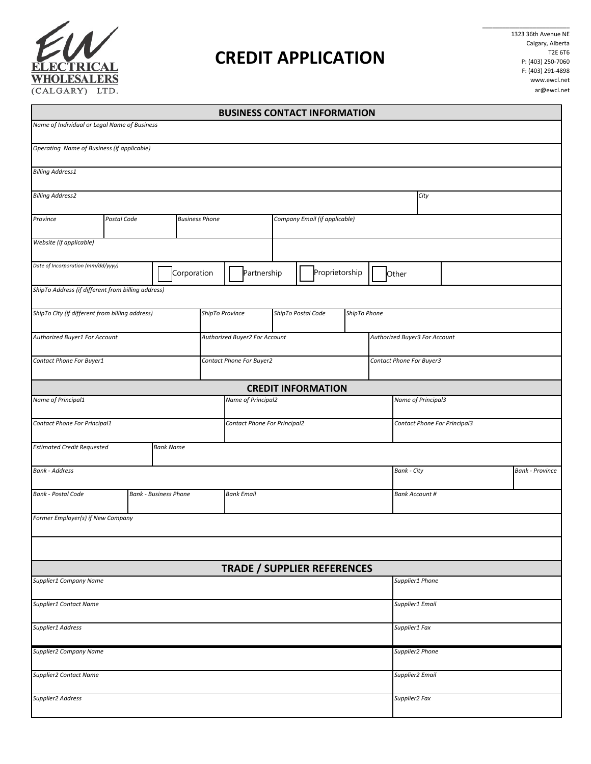

## **CREDIT APPLICATION**

 $\overline{\phantom{a}}$  , where the contract of the contract of the contract of the contract of the contract of the contract of the contract of the contract of the contract of the contract of the contract of the contract of the contr 1323 36th Avenue NE Calgary, Alberta T2E 6T6 P: (403) 250-7060 F: (403) 291-4898 www.ewcl.net ar@ewcl.net

J.

|                                                           |  |                  |  |                               |                              |                          |                                    | <b>BUSINESS CONTACT INFORMATION</b> |                    |                                              |                               |  |  |  |
|-----------------------------------------------------------|--|------------------|--|-------------------------------|------------------------------|--------------------------|------------------------------------|-------------------------------------|--------------------|----------------------------------------------|-------------------------------|--|--|--|
| Name of Individual or Legal Name of Business              |  |                  |  |                               |                              |                          |                                    |                                     |                    |                                              |                               |  |  |  |
| Operating Name of Business (if applicable)                |  |                  |  |                               |                              |                          |                                    |                                     |                    |                                              |                               |  |  |  |
| <b>Billing Address1</b>                                   |  |                  |  |                               |                              |                          |                                    |                                     |                    |                                              |                               |  |  |  |
| <b>Billing Address2</b>                                   |  |                  |  |                               |                              |                          |                                    |                                     |                    |                                              | City                          |  |  |  |
| Postal Code<br><b>Business Phone</b><br>Province          |  |                  |  |                               |                              |                          | Company Email (if applicable)      |                                     |                    |                                              |                               |  |  |  |
| Website (if applicable)                                   |  |                  |  |                               |                              |                          |                                    |                                     |                    |                                              |                               |  |  |  |
| Date of Incorporation (mm/dd/yyyy)<br>Corporation         |  |                  |  | Partnership                   |                              |                          | Proprietorship                     |                                     | Other              |                                              |                               |  |  |  |
| ShipTo Address (if different from billing address)        |  |                  |  |                               |                              |                          |                                    |                                     |                    |                                              |                               |  |  |  |
| ShipTo City (if different from billing address)           |  |                  |  | ShipTo Province               |                              |                          | ShipTo Postal Code<br>ShipTo Phone |                                     |                    |                                              |                               |  |  |  |
| Authorized Buyer1 For Account                             |  |                  |  | Authorized Buyer2 For Account |                              |                          |                                    |                                     |                    |                                              | Authorized Buyer3 For Account |  |  |  |
| Contact Phone For Buyer1                                  |  |                  |  |                               |                              | Contact Phone For Buyer2 |                                    |                                     |                    |                                              | Contact Phone For Buyer3      |  |  |  |
|                                                           |  |                  |  |                               |                              |                          |                                    | <b>CREDIT INFORMATION</b>           |                    |                                              |                               |  |  |  |
| Name of Principal1<br>Name of Principal2                  |  |                  |  |                               |                              |                          |                                    |                                     | Name of Principal3 |                                              |                               |  |  |  |
| Contact Phone For Principal1                              |  |                  |  |                               | Contact Phone For Principal2 |                          |                                    |                                     |                    | Contact Phone For Principal3                 |                               |  |  |  |
| <b>Estimated Credit Requested</b>                         |  | <b>Bank Name</b> |  |                               |                              |                          |                                    |                                     |                    |                                              |                               |  |  |  |
| <b>Bank - Address</b>                                     |  |                  |  |                               |                              |                          |                                    |                                     |                    | <b>Bank - City</b><br><b>Bank - Province</b> |                               |  |  |  |
| <b>Bank - Postal Code</b><br><b>Bank - Business Phone</b> |  |                  |  | <b>Bank Email</b>             |                              |                          |                                    |                                     |                    | <b>Bank Account #</b>                        |                               |  |  |  |
| Former Employer(s) if New Company                         |  |                  |  |                               |                              |                          |                                    |                                     |                    |                                              |                               |  |  |  |
|                                                           |  |                  |  |                               |                              |                          |                                    |                                     |                    |                                              |                               |  |  |  |
|                                                           |  |                  |  |                               |                              |                          |                                    | <b>TRADE / SUPPLIER REFERENCES</b>  |                    |                                              |                               |  |  |  |
| Supplier1 Company Name                                    |  |                  |  |                               |                              |                          |                                    |                                     | Supplier1 Phone    |                                              |                               |  |  |  |
| Supplier1 Contact Name                                    |  |                  |  |                               |                              |                          |                                    |                                     | Supplier1 Email    |                                              |                               |  |  |  |
| Supplier1 Address                                         |  |                  |  |                               |                              |                          |                                    |                                     |                    | Supplier1 Fax                                |                               |  |  |  |
| <b>Supplier2 Company Name</b>                             |  |                  |  |                               |                              |                          |                                    |                                     |                    | Supplier2 Phone                              |                               |  |  |  |
| <b>Supplier2 Contact Name</b>                             |  |                  |  |                               |                              |                          |                                    |                                     |                    |                                              | Supplier2 Email               |  |  |  |
| Supplier2 Address                                         |  |                  |  |                               |                              |                          |                                    |                                     |                    | Supplier2 Fax                                |                               |  |  |  |